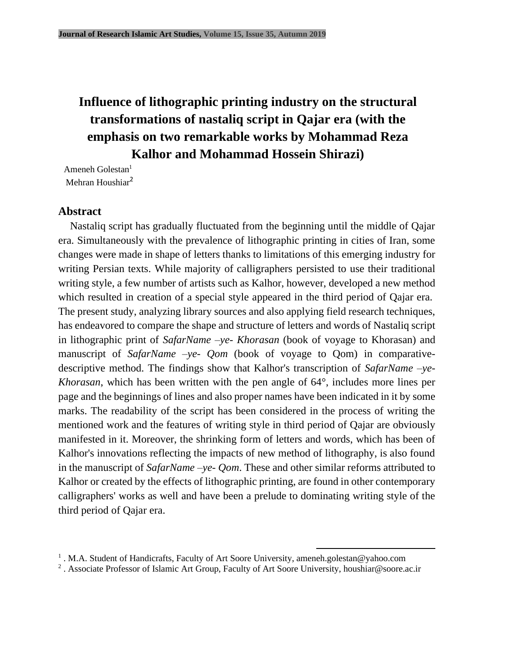# **Influence of lithographic printing industry on the structural transformations of nastaliq script in Qajar era (with the emphasis on two remarkable works by Mohammad Reza Kalhor and Mohammad Hossein Shirazi)**

Ameneh Golestan $<sup>1</sup>$ </sup> Mehran Houshiar<sup>2</sup>

## **Abstract**

Nastaliq script has gradually fluctuated from the beginning until the middle of Qajar era. Simultaneously with the prevalence of lithographic printing in cities of Iran, some changes were made in shape of letters thanks to limitations of this emerging industry for writing Persian texts. While majority of calligraphers persisted to use their traditional writing style, a few number of artists such as Kalhor, however, developed a new method which resulted in creation of a special style appeared in the third period of Qajar era. The present study, analyzing library sources and also applying field research techniques, has endeavored to compare the shape and structure of letters and words of Nastaliq script in lithographic print of *SafarName –ye- Khorasan* (book of voyage to Khorasan) and manuscript of *SafarName* –ye- *Qom* (book of voyage to *Qom*) in comparativedescriptive method. The findings show that Kalhor's transcription of *SafarName –ye-Khorasan*, which has been written with the pen angle of 64°, includes more lines per page and the beginnings of lines and also proper names have been indicated in it by some marks. The readability of the script has been considered in the process of writing the mentioned work and the features of writing style in third period of Qajar are obviously manifested in it. Moreover, the shrinking form of letters and words, which has been of Kalhor's innovations reflecting the impacts of new method of lithography, is also found in the manuscript of *SafarName –ye- Qom*. These and other similar reforms attributed to Kalhor or created by the effects of lithographic printing, are found in other contemporary calligraphers' works as well and have been a prelude to dominating writing style of the third period of Qajar era.

<sup>&</sup>lt;sup>1</sup>. M.A. Student of Handicrafts, Faculty of Art Soore University, ameneh.golestan@yahoo.com

<sup>&</sup>lt;sup>2</sup>. Associate Professor of Islamic Art Group, Faculty of Art Soore University, [houshiar@soore.ac.ir](mailto:houshiar@soore.ac.ir)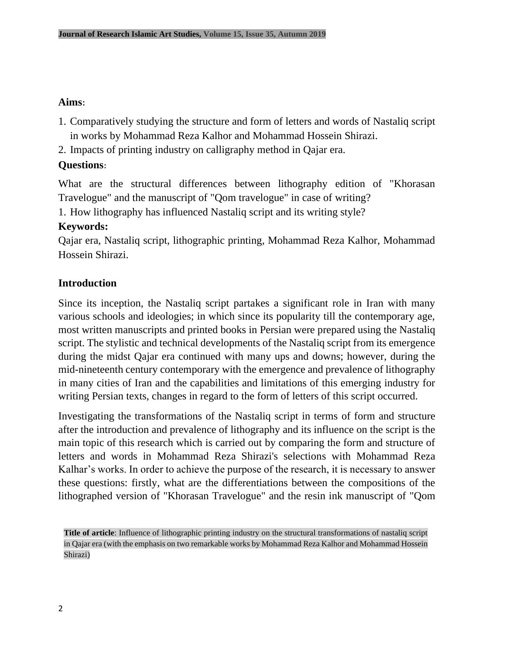## **Aims:**

- 1. Comparatively studying the structure and form of letters and words of Nastaliq script in works by Mohammad Reza Kalhor and Mohammad Hossein Shirazi.
- 2. Impacts of printing industry on calligraphy method in Qajar era.

# **Questions:**

What are the structural differences between lithography edition of "Khorasan Travelogue" and the manuscript of "Qom travelogue" in case of writing?

1. How lithography has influenced Nastaliq script and its writing style?

## **Keywords:**

Qajar era, Nastaliq script, lithographic printing, Mohammad Reza Kalhor, Mohammad Hossein Shirazi.

## **Introduction**

Since its inception, the Nastaliq script partakes a significant role in Iran with many various schools and ideologies; in which since its popularity till the contemporary age, most written manuscripts and printed books in Persian were prepared using the Nastaliq script. The stylistic and technical developments of the Nastaliq script from its emergence during the midst Qajar era continued with many ups and downs; however, during the mid-nineteenth century contemporary with the emergence and prevalence of lithography in many cities of Iran and the capabilities and limitations of this emerging industry for writing Persian texts, changes in regard to the form of letters of this script occurred.

Investigating the transformations of the Nastaliq script in terms of form and structure after the introduction and prevalence of lithography and its influence on the script is the main topic of this research which is carried out by comparing the form and structure of letters and words in Mohammad Reza Shirazi's selections with Mohammad Reza Kalhar's works. In order to achieve the purpose of the research, it is necessary to answer these questions: firstly, what are the differentiations between the compositions of the lithographed version of "Khorasan Travelogue" and the resin ink manuscript of "Qom

**Title of article**: Influence of lithographic printing industry on the structural transformations of nastaliq script in Qajar era (with the emphasis on two remarkable works by Mohammad Reza Kalhor and Mohammad Hossein Shirazi)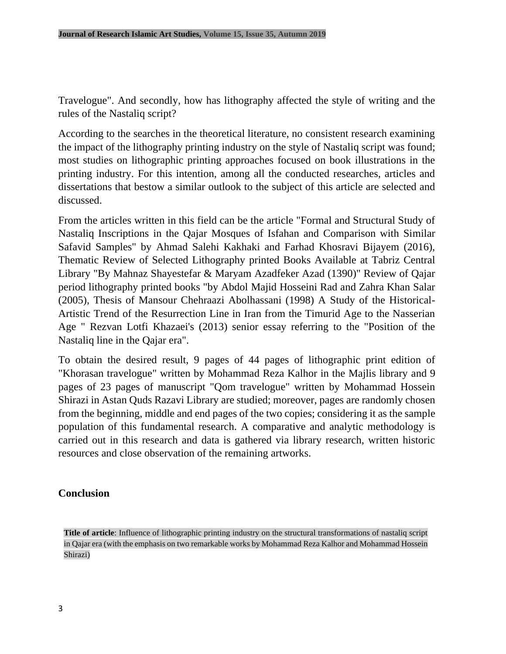Travelogue". And secondly, how has lithography affected the style of writing and the rules of the Nastaliq script?

According to the searches in the theoretical literature, no consistent research examining the impact of the lithography printing industry on the style of Nastaliq script was found; most studies on lithographic printing approaches focused on book illustrations in the printing industry. For this intention, among all the conducted researches, articles and dissertations that bestow a similar outlook to the subject of this article are selected and discussed.

From the articles written in this field can be the article "Formal and Structural Study of Nastaliq Inscriptions in the Qajar Mosques of Isfahan and Comparison with Similar Safavid Samples" by Ahmad Salehi Kakhaki and Farhad Khosravi Bijayem (2016), Thematic Review of Selected Lithography printed Books Available at Tabriz Central Library "By Mahnaz Shayestefar & Maryam Azadfeker Azad (1390)" Review of Qajar period lithography printed books "by Abdol Majid Hosseini Rad and Zahra Khan Salar (2005), Thesis of Mansour Chehraazi Abolhassani (1998) A Study of the Historical-Artistic Trend of the Resurrection Line in Iran from the Timurid Age to the Nasserian Age " Rezvan Lotfi Khazaei's (2013) senior essay referring to the "Position of the Nastaliq line in the Qajar era".

To obtain the desired result, 9 pages of 44 pages of lithographic print edition of "Khorasan travelogue" written by Mohammad Reza Kalhor in the Majlis library and 9 pages of 23 pages of manuscript "Qom travelogue" written by Mohammad Hossein Shirazi in Astan Quds Razavi Library are studied; moreover, pages are randomly chosen from the beginning, middle and end pages of the two copies; considering it as the sample population of this fundamental research. A comparative and analytic methodology is carried out in this research and data is gathered via library research, written historic resources and close observation of the remaining artworks.

#### **Conclusion**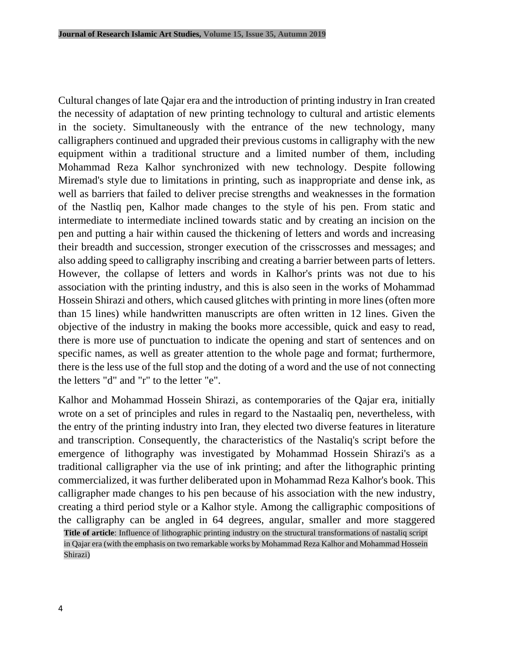Cultural changes of late Qajar era and the introduction of printing industry in Iran created the necessity of adaptation of new printing technology to cultural and artistic elements in the society. Simultaneously with the entrance of the new technology, many calligraphers continued and upgraded their previous customs in calligraphy with the new equipment within a traditional structure and a limited number of them, including Mohammad Reza Kalhor synchronized with new technology. Despite following Miremad's style due to limitations in printing, such as inappropriate and dense ink, as well as barriers that failed to deliver precise strengths and weaknesses in the formation of the Nastliq pen, Kalhor made changes to the style of his pen. From static and intermediate to intermediate inclined towards static and by creating an incision on the pen and putting a hair within caused the thickening of letters and words and increasing their breadth and succession, stronger execution of the crisscrosses and messages; and also adding speed to calligraphy inscribing and creating a barrier between parts of letters. However, the collapse of letters and words in Kalhor's prints was not due to his association with the printing industry, and this is also seen in the works of Mohammad Hossein Shirazi and others, which caused glitches with printing in more lines (often more than 15 lines) while handwritten manuscripts are often written in 12 lines. Given the objective of the industry in making the books more accessible, quick and easy to read, there is more use of punctuation to indicate the opening and start of sentences and on specific names, as well as greater attention to the whole page and format; furthermore, there is the less use of the full stop and the doting of a word and the use of not connecting the letters "d" and "r" to the letter "e".

Kalhor and Mohammad Hossein Shirazi, as contemporaries of the Qajar era, initially wrote on a set of principles and rules in regard to the Nastaaliq pen, nevertheless, with the entry of the printing industry into Iran, they elected two diverse features in literature and transcription. Consequently, the characteristics of the Nastaliq's script before the emergence of lithography was investigated by Mohammad Hossein Shirazi's as a traditional calligrapher via the use of ink printing; and after the lithographic printing commercialized, it was further deliberated upon in Mohammad Reza Kalhor's book. This calligrapher made changes to his pen because of his association with the new industry, creating a third period style or a Kalhor style. Among the calligraphic compositions of the calligraphy can be angled in 64 degrees, angular, smaller and more staggered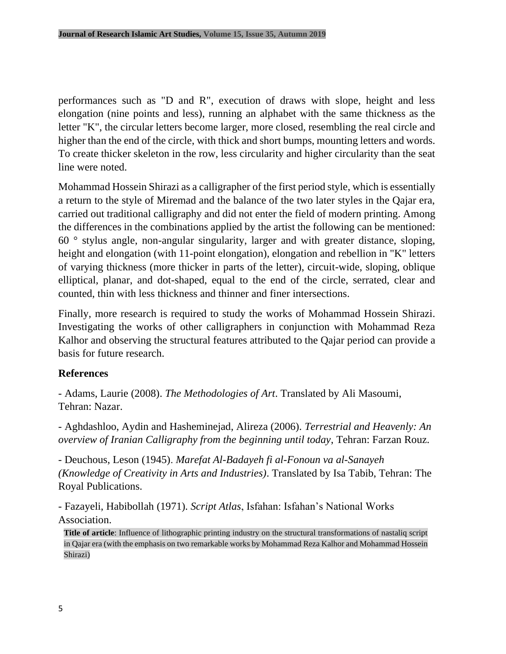performances such as "D and R", execution of draws with slope, height and less elongation (nine points and less), running an alphabet with the same thickness as the letter "K", the circular letters become larger, more closed, resembling the real circle and higher than the end of the circle, with thick and short bumps, mounting letters and words. To create thicker skeleton in the row, less circularity and higher circularity than the seat line were noted.

Mohammad Hossein Shirazi as a calligrapher of the first period style, which is essentially a return to the style of Miremad and the balance of the two later styles in the Qajar era, carried out traditional calligraphy and did not enter the field of modern printing. Among the differences in the combinations applied by the artist the following can be mentioned: 60 ° stylus angle, non-angular singularity, larger and with greater distance, sloping, height and elongation (with 11-point elongation), elongation and rebellion in "K" letters of varying thickness (more thicker in parts of the letter), circuit-wide, sloping, oblique elliptical, planar, and dot-shaped, equal to the end of the circle, serrated, clear and counted, thin with less thickness and thinner and finer intersections.

Finally, more research is required to study the works of Mohammad Hossein Shirazi. Investigating the works of other calligraphers in conjunction with Mohammad Reza Kalhor and observing the structural features attributed to the Qajar period can provide a basis for future research.

#### **References**

- Adams, Laurie (2008). *The Methodologies of Art*. Translated by Ali Masoumi, Tehran: Nazar.

- Aghdashloo, Aydin and Hasheminejad, Alireza (2006). *Terrestrial and Heavenly: An overview of Iranian Calligraphy from the beginning until today*, Tehran: Farzan Rouz.

- Deuchous, Leson (1945). *Marefat Al-Badayeh fi al-Fonoun va al-Sanayeh (Knowledge of Creativity in Arts and Industries)*. Translated by Isa Tabib, Tehran: The Royal Publications.

- Fazayeli, Habibollah (1971). *Script Atlas*, Isfahan: Isfahan's National Works Association.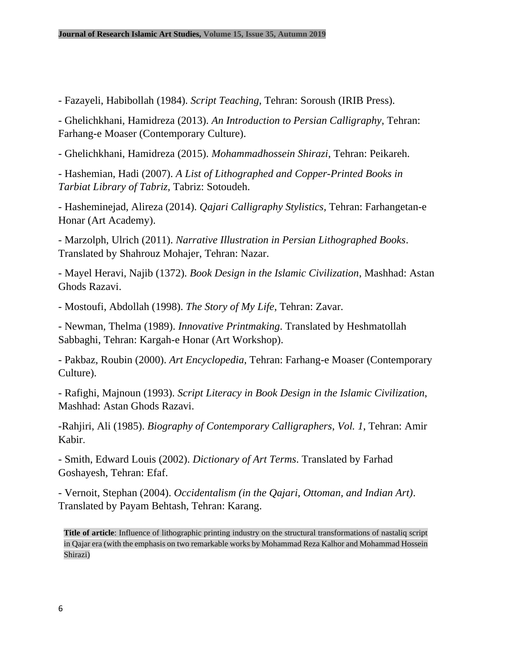- Fazayeli, Habibollah (1984). *Script Teaching*, Tehran: Soroush (IRIB Press).

- Ghelichkhani, Hamidreza (2013). *An Introduction to Persian Calligraphy*, Tehran: Farhang-e Moaser (Contemporary Culture).

- Ghelichkhani, Hamidreza (2015). *Mohammadhossein Shirazi*, Tehran: Peikareh.

- Hashemian, Hadi (2007). *A List of Lithographed and Copper-Printed Books in Tarbiat Library of Tabriz,* Tabriz: Sotoudeh.

- Hasheminejad, Alireza (2014). *Qajari Calligraphy Stylistics,* Tehran: Farhangetan-e Honar (Art Academy).

- Marzolph, Ulrich (2011). *Narrative Illustration in Persian Lithographed Books*. Translated by Shahrouz Mohajer, Tehran: Nazar.

- Mayel Heravi, Najib (1372). *Book Design in the Islamic Civilization*, Mashhad: Astan Ghods Razavi.

- Mostoufi, Abdollah (1998). *The Story of My Life*, Tehran: Zavar.

- Newman, Thelma (1989). *Innovative Printmaking*. Translated by Heshmatollah Sabbaghi, Tehran: Kargah-e Honar (Art Workshop).

- Pakbaz, Roubin (2000). *Art Encyclopedia*, Tehran: Farhang-e Moaser (Contemporary Culture).

- Rafighi, Majnoun (1993). *Script Literacy in Book Design in the Islamic Civilization*, Mashhad: Astan Ghods Razavi.

-Rahjiri, Ali (1985). *Biography of Contemporary Calligraphers*, *Vol. 1*, Tehran: Amir Kabir.

- Smith, Edward Louis (2002). *Dictionary of Art Terms*. Translated by Farhad Goshayesh, Tehran: Efaf.

- Vernoit, Stephan (2004). *Occidentalism (in the Qajari, Ottoman, and Indian Art)*. Translated by Payam Behtash, Tehran: Karang.